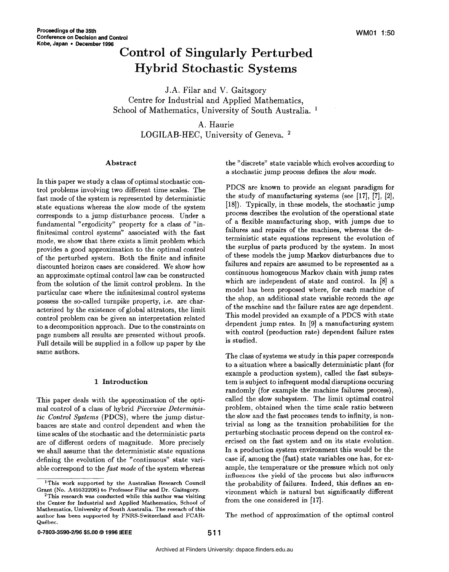# **Control of Singularly Perturbed Hybrid Stochastic Systems**

J.A. Filar and V. Gaitsgory Centre for Industrial and Applied Mathematics, School of Mathematics, University of South Australia.<sup>1</sup>

# A. Haurie

LOGILAB-HEC, University of Geneva.<sup>2</sup>

# **Abstract**

In this paper we study a class of optimal stochastic control problems involving two different time scales. The fast mode of the system is represented by deterministic state equations whereas the slow mode of the system corresponds to a jump disturbance process. Under a fundamental "ergodicity" property for a class of "infinitesimal control systems" associated with the fast mode, we show that there exists a limit problem which provides a good approximation to the optimal control of the perturbed system. Both the finite and infinite discounted horizon cases are considered. We show how an approximate optimal control law can be constructed from the solution of the limit control problem. In the particular case where the infinitesimal control systems possess the so-called turnpike property, i.e. are characterized by the existence of global attrators, the limit control problem can be given an interpretation related to a decomposition approach. Due to the constraints on page numbers all results are presented without proofs. Full details will be supplied in a follow up paper by the same authors.

# **1 Introduction**

This paper deals with the approximation of the optimal control of a class of hybrid *Piecewise Deterministic Control Systems* (PDCS), where the jump disturbances are state and control dependent and when the time scales of the stochastic and the deterministic parts are of different orders of magnitude. More precisely we shall assume that the deterministic state equations defining the evolution of the "continuous" state variable correspond to the *fast mode* of the system whereas the "discrete" state variable which evolves according to a stochastic jump process defines the *slow mode.* 

PDCS are known to provide an elegant paradigm for the study of manufacturing systems (see **[17], [7], [2], [18]).** Typically, in these models, the stochastic jump process describes the evolution of the operational state of a flexible manufacturing shop, with jumps due to failures and repairs of the machines, whereas the deterministic state equations represent the evolution of the surplus of parts produced by the system. In most of these models the jump Markov disturbances due to failures and repairs are assumed to be represented as a continuous homogenous Markov chain with jump rates which are independent of state and control. In [8] a model has been proposed where, for each machine of the shop, an additional state variable records the age of the machine and the failure rates are age dependent. This model provided an example of a PDCS with state dependent jump rates. In **[9]** a manufacturing system with control (production rate) dependent failure rates is studied.

The class of systems we study in this paper corresponds to a situation where a basically deterministic plant (for example a production system), called the fast subsys tem is subject to infrequent modal disruptions occuring randomly (for example the machine failures process), called the slow subsystem. The limit optimal control problem, obtained when the time scale ratio between the slow and the fast processes tends to infinity, is nontrivial as long as the transition probabilities for the perturbing stochastic process depend on the control exercised on the fast system and on its state evolution. In a production system environment this would be the case if, among the (fast) state variables one has, for example, the temperature or the pressure which not only **influences the yield of** the **process** but **also** influences the probability of failures. Indeed, this defines an environment which is natural but significantly different from the one considered in **[17].** 

The method of approximation of the optimal control

**<sup>&#</sup>x27;This work supported by the Australian Research Council Grant** (No. **A49532206) to Professor Filar and Dr. Gaitsgory.** 

**<sup>2</sup>This research was conducted while this author was visiting the Center for Industrial and Applied Mathematics, School of Mathematics, University of South Australia. The reseach of this author has been supported by FNRS-Switzerland and FCAR-QuCbec.**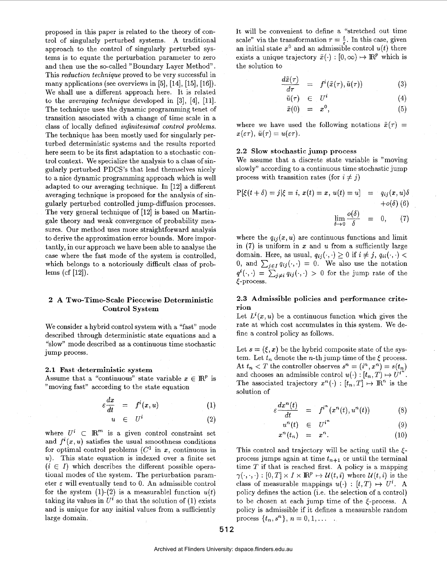proposed in this paper is related to the theory of control of singularly perturbed systems. A traditional approach to the control of singularly perturbed systems is to equate the perturbation parameter to zero and then use the so-called "Boundary Layer Method". This *reduction technique* proved to be very successful in many applications (see overviews in [5], [14], [15], [16]). We shall use a different approach here. It is related to the *averaging technique* developed in [3], [4], [11]. The technique uses the dynamic programming tenet of transition associated with a change of time scale in a class of locally defined *infinitesimal control problems*. The technique has been mostly used for singularly perturbed deterministic systems and the results reported here seem to be its first adaptation to a stochastic control context. We specialize the analysis to a class of singularly perturbed PDCS's that lend themselves nicely to a nice dynamic programming approach which is well adapted to our averaging technique. In [12] a different averaging technique is proposed for the analysis of singularly perturbed controlled jumpdiffusion processes. The very general technique of [12] is based on Martingale theory and weak convergence of probability measures. Our method uses more straightforward analysis to derive the approximation error bounds. More importantly, in our approach we have been able to analyse the case where the fast mode of the system is controlled, which belongs to a notoriously difficult class of problems (cf [12]).

# **2 A Two-Time-Scale Piecewise Deterministic Control System**

We consider a hybrid control system with a "fast" mode described through deterministic state equations and a "slow" mode described as a continuous time stochastic jump process.

#### **2.1 Fast deterministic system**

Assume that a "continuous" state variable  $x \in \mathbb{R}^p$  is "moving fast" according to the state equation

$$
\varepsilon \frac{dx}{dt} = f^{i}(x, u) \qquad (1)
$$

$$
u \in U^* \tag{2}
$$

where  $U^i \subset \mathbb{R}^m$  is a given control constraint set and  $f^{i}(x, u)$  satisfies the usual smoothness conditions for optimal control problems  $(C^1$  in *x*, continuous in *U).* This state equation is indexed over a finite set  $(i \in I)$  which describes the different possible operational modes of the system. The perturbation parameter  $\varepsilon$  will eventually tend to 0. An admissible control for the system  $(1)-(2)$  is a measurablel function  $u(t)$ taking its values in  $U^i$  so that the solution of (1) exists and is unique for any initial values from a sufficiently large domain.

It will be convenient to define a "stretched out time scale" via the transformation  $\tau = \frac{t}{\tau}$ . In this case, given an initial state  $x^0$  and an admissible control  $u(t)$  there exists a unique trajectory  $\tilde{x}(\cdot) : [0, \infty) \mapsto \mathbb{R}^p$  which is the solution to

$$
\frac{d\tilde{x}(\tau)}{d\tau} = f^{i}(\tilde{x}(\tau), \tilde{u}(\tau)) \tag{3}
$$

$$
\tilde{u}(\tau) \quad \in \quad U^i \tag{4}
$$

$$
\tilde{x}(0) = x^0, \tag{5}
$$

where we have used the following notations  $\tilde{x}(\tau)$  =  $x(\varepsilon\tau), \tilde{u}(\tau) = u(\varepsilon\tau).$ 

# **2.2 Slow stochastic jump process**

We assume that a discrete state variable is "moving slowly" according to a continuous time stochastic jump process with transition rates (for  $i \neq j$ )

$$
P[\xi(t+\delta) = j | \xi = i, x(t) = x, u(t) = u] = q_{ij}(x, u)\delta
$$
  
+o( $\delta$ ) (6)  

$$
\lim_{\delta \to 0} \frac{o(\delta)}{\delta} = 0, \qquad (7)
$$

where the  $q_{ij}(x, u)$  are continuous functions and limit in (7) is uniform in *x* and *U* from a sufficiently large domain. Here, as usual,  $q_{ij}(\cdot, \cdot) \ge 0$  if  $i \ne j$ ,  $q_{ii}(\cdot, \cdot) <$ 0, and  $\sum_{j\in I} q_{ij}(\cdot,\cdot) = 0$ . We also use the notation  $q^{i}(\cdot,\cdot) = \sum_{j\neq i} q_{ij}(\cdot,\cdot) > 0$  for the jump rate of the [-process.

# **2.3 Admissible policies and performance criterion**

Let  $L^{i}(x, u)$  be a continuous function which gives the rate at which cost accumulates in this system. We define a control policy as follows.

Let  $s = (\xi, x)$  be the hybrid composite state of the system. Let  $t_n$  denote the *n*-th jump time of the  $\xi$  process. At  $t_n < T$  the controller observes  $s^n = (i^n, x^n) = s(t_n)$ and chooses an admissible control  $u(\cdot) : [t_n, T) \mapsto U^{i'}$ . The associated trajectory  $x^n(\cdot) : [t_n, T] \mapsto \mathbb{R}^n$  is the solution of

$$
\varepsilon \frac{dx^n(t)}{dt} = f^{i^n}(x^n(t), u^n(t)) \qquad (8)
$$

$$
u^n(t) \in U^{i^n} \tag{9}
$$

$$
x^n(t_n) = x^n. \t\t(10)
$$

This control and trajectory will be acting until the  $\xi$ process jumps again at time  $t_{n+1}$  or until the terminal time *T* if that is reached first. **A** policy is a mapping  $\gamma(\cdot, \cdot, \cdot) : [0, T] \times I \times \mathbb{R}^p \mapsto \mathcal{U}(t, i)$  where  $\mathcal{U}(t, i)$  is the class of measurable mappings  $u(\cdot) : [t, T] \mapsto U^i$ . A policy defines the action (i.e. the selection of a control) to be chosen at each jump time of the  $\xi$ -process. A policy is admissible if it defines a measurable random process  $\{t_n, s^n\}, n = 0, 1, \ldots$ .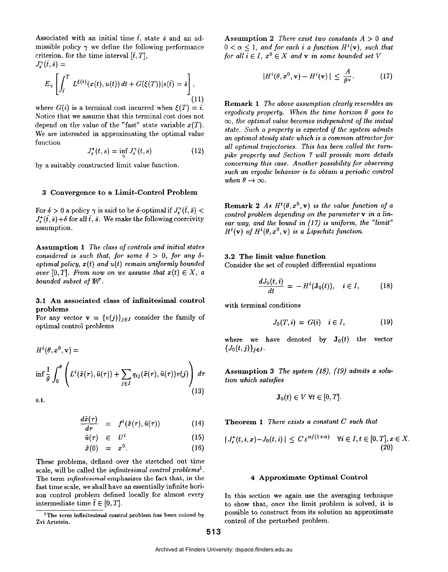Associated with an initial time  $\bar{t}$ , state  $\bar{s}$  and an admissible policy  $\gamma$  we define the following performance criterion, for the time interval  $[\bar{t}, T]$ ,  $J_{\varepsilon}^{\gamma}(\bar{t},\bar{s})=$ 

$$
E_{\gamma}\left[\int_{\bar{t}}^{T} L^{\xi(t)}(x(t), u(t)) dt + G(\xi(T)) |s(\bar{t}) = \bar{s}\right],
$$
\n(11)

where  $G(i)$  is a terminal cost incurred when  $\mathcal{E}(T) = i$ . Notice that we assume that this terminal cost does not depend on the value of the "fast" state variable  $x(T)$ . We are interested in approximating the optimal value function

$$
J_{\varepsilon}^*(t,s) = \inf_{\gamma} J_{\varepsilon}^{\gamma}(t,s) \tag{12}
$$

by a suitably constructed limit value function.

#### **3 Convergence to a Limit-Control Problem**

For  $\delta > 0$  a policy  $\gamma$  is said to be  $\delta$ -optimal if  $J^{\gamma}(\bar{t}, \bar{s}) <$  $J^*_{\epsilon}(\tilde{t},\bar{s})+\delta$  for all  $\tilde{t},\tilde{s}$ . We make the following coercivity assumption.

**Assumption 1** *The class* of *controls and initial states considered is such that, for some*  $\delta > 0$ *, for any*  $\delta$ *optimal policy, x(t) and u(t) remain uniformly bounded over*  $[0, T]$ . From now on we assume that  $x(t) \in X$ , a *bounded subset of*  $\mathbb{R}^p$ .

# **3.1 An associated class of infinitesimal control problems**

For any vector  $\mathbf{v} = \{v(j)\}_{j \in I}$  consider the family of optimal control problems

$$
H^{i}(\theta, \dot{x}^{0}, \mathbf{v}) =
$$
  
\n
$$
\inf \frac{1}{\theta} \int_{0}^{\theta} \left( L^{i}(\tilde{x}(\tau), \tilde{u}(\tau)) + \sum_{j \in I} q_{ij}(\tilde{x}(\tau), \tilde{u}(\tau)) v(j) \right) d\tau
$$
  
\ns.t.  
\n
$$
\frac{d\tilde{x}(\tau)}{d\tau} = f^{i}(\tilde{x}(\tau), \tilde{u}(\tau)) \qquad (14)
$$
  
\n
$$
\tilde{u}(\tau) \in U^{i} \qquad (15)
$$

s.t.

$$
\frac{d\tilde{x}(\tau)}{d\tau} = f^{i}(\tilde{x}(\tau), \tilde{u}(\tau)) \qquad (14)
$$

$$
\tilde{u}(\tau) \in U^i \tag{15}
$$

$$
\tilde{x}(0) = x^0. \tag{16}
$$

These problems, defined over the stretched out time scale, will be called the *infinitesimal control problems'.*  The term *infinitesimal* emphasizes the fact that, **in** the fast time scale, we shall have an essentially infinite horizon control problem defined locally for almost every intermediate time  $\bar{t} \in [0, T]$ .

**Assumption 2** *There exist two constants A* > *0 and*   $0 < \alpha < 1$ , and for each i a function  $H^i(\mathbf{v})$ , such that *for all*  $i \in I$ ,  $x^0 \in X$  *and* **v** *in some bounded set V* 

$$
|H^{i}(\theta, x^{0}, \mathbf{v}) - H^{i}(\mathbf{v})| \leq \frac{A}{\theta^{\alpha}}.
$$
 (17)

**Remark 1** *The above assumption clearly resembles an ergodicity property.* When the time horizon  $\theta$  goes to  $\infty$ *, the optimal value becomes independent of the initial state. Such a property is expected if the system admits an optimal steady state which is a common attractor for all optimal trajectories. This has been called the tumpike property and Section* **7** *will provide more details concerning this case. Another possibility for observing such an ergodic behavior as to obtain a periodic control when*  $\theta \rightarrow \infty$ .

**Remark 2** *As*  $H^{i}(\theta, x^{0}, v)$  *is the value function of a control problem depending on the parameter* **v** *in a linear way, and the bound in (1* **7)** *is uniform, the "limit"*   $H^i(\mathbf{v})$  of  $H^i(\theta, x^0, \mathbf{v})$  is a Lipschitz function.

### **3.2 The limit value function**

Consider the set of coupled differential equations

$$
\frac{dJ_0(t,i)}{dt} = -H^i(\mathbf{J}_0(t)), \quad i \in I, \tag{18}
$$

with terminal conditions

$$
J_0(T,i) = G(i) \quad i \in I,\tag{19}
$$

where we have denoted by  $J_0(t)$  the vector  ${J_0(t,j)}_{j\in I}$ .

**Assumption 3** *The system (18), (19) admits a solution which satisfies* 

$$
\mathbf{J}_0(t) \in V \ \forall t \in [0,T].
$$

**Theorem 1** *There exists a constant C such that* 

$$
|J_{\varepsilon}^*(t,i,x)-J_0(t,i)| \le C \varepsilon^{\alpha/(1+\alpha)} \quad \forall i \in I, t \in [0,T], x \in X
$$
\n(20)

# **4 Approximate Optimal Control**

In this section we again use the averaging technique to show that, once the limit problem is solved, it is possible to construct from its solution an approximate control of the perturbed problem.

**<sup>&#</sup>x27;The term infinitesimal control problem has been coined by Zvi Artstein.**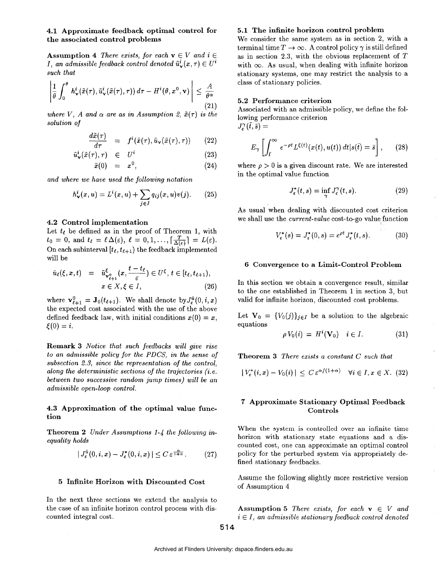**4.1 Approximate feedback optimal control for the associated control problems** 

**Assumption 4** *There exists, for each*  $\mathbf{v} \in V$  *and*  $i \in$ *I*, an admissible feedback control denoted  $\tilde{u}^i_{\infty}(x, \tau) \in U^i$ *such that* 

$$
\left|\frac{1}{\theta}\int_0^\theta h^i_{\mathbf{v}}(\tilde{x}(\tau),\tilde{u}^i_{\mathbf{v}}(\tilde{x}(\tau),\tau))\,d\tau - H^i(\theta,x^0,\mathbf{v})\right| \leq \frac{A}{\theta^\alpha} \tag{21}
$$

*where V, A and*  $\alpha$  *are as in Assumption 2,*  $\tilde{x}(\tau)$  *is the solution of* 

$$
\frac{d\tilde{x}(\tau)}{d\tau} = f^{i}(\tilde{x}(\tau), \tilde{u}_{\mathbf{v}}(\tilde{x}(\tau), \tau)) \qquad (22)
$$

$$
\tilde{u}^i_{\mathbf{v}}(\tilde{x}(\tau), \tau) \in U^i \tag{23}
$$

$$
\tilde{x}(0) = x^0, \tag{24}
$$

*and where we have used the following notation* 

$$
h_{\mathbf{v}}^{i}(x, u) = L^{i}(x, u) + \sum_{j \in I} q_{ij}(x, u)v(j).
$$
 (25)

#### **4.2 Control implementation**

Let  $t_{\ell}$  be defined as in the proof of Theorem 1, with  $t_0 = 0$ , and  $t_\ell = \ell \Delta(\varepsilon), \ell = 0, 1, ..., [\frac{T}{\Delta(\varepsilon)}] = L(\varepsilon).$ On each subinterval  $[t_{\ell}, t_{\ell+1})$  the feedback implemented will be

$$
\hat{u}_{\ell}(\xi, x, t) = \tilde{u}_{\mathbf{v}_{\ell+1}}^{\xi} (x, \frac{t - t_{\ell}}{\varepsilon}) \in U^{\xi}, t \in [t_{\ell}, t_{\ell+1}),
$$
  

$$
x \in X, \xi \in I,
$$
 (26)

where  $\mathbf{v}_{\ell+1}^0 = \mathbf{J}_0(t_{\ell+1})$ . We shall denote by  $J_{\varepsilon}^{\hat{u}}(0, i, x)$ the expected cost associated with the use of the above defined feedback law, with initial conditions  $x(0) = x$ ,  $\xi(0) = i.$ 

**Remark 3** *Notice that such feedbacks will give rise to an admissible policy for the PDCS, in the sense of subsection 2.3, since the representataon* of *the control, along the deterministic sections of the trajectories (i.e. between two successive random jump times) will be an admissible open-loop control.* 

# **4.3 Approximation of the optimal value function**

**Theorem 2** *Under Assumptions 1-4 the following inequality holds* 

$$
|J_{\varepsilon}^{\hat{u}}(0,i,x)-J_{\varepsilon}^{*}(0,i,x)|\leq C\,\varepsilon^{\frac{\alpha}{1+\alpha}}.\qquad(27)
$$

### **5 Infinite Horizon with Discounted Cost**

In the next three sections we extend the analysis to the case of an infinite horizon control process with dis-<br>**Assumption 5** *There exists, for each*  $\mathbf{v} \in V$  *and* 

### **5.1 The infinite horizon control problem**

We consider the same system as in section **2,** with a terminal time  $T \to \infty$ . A control policy  $\gamma$  is still defined as in section **2.3,** with the obvious replacement of *T*  with  $\infty$ . As usual, when dealing with infinite horizon stationary systems, one may restrict the analysis to a class of stationary policies.

#### **5.2 Performance criterion**

Associated with an admissible policy, we define the following performance criterion  $J_{\epsilon}^{\gamma}(\bar{t},\bar{s})=$ 

$$
E_{\gamma}\left[\int_{\bar{t}}^{\infty} e^{-\rho t} L^{\xi(t)}(x(t), u(t)) dt | s(\bar{t}) = \bar{s}\right], \qquad (28)
$$

where  $\rho > 0$  is a given discount rate. We are interested in the optimal value function

$$
J_{\varepsilon}^*(t,s) = \inf_{\gamma} J_{\varepsilon}^{\gamma}(t,s). \tag{29}
$$

**As** usual when dealing with discounted cost criterion we shall use the *current-value* cost-to-go value function

$$
V_{\varepsilon}^*(s) = J_{\varepsilon}^*(0, s) = e^{\rho t} J_{\varepsilon}^*(t, s).
$$
 (30)

#### **6 Convergence to a Limit-Control Problem**

In this section we obtain a convergence result, similar to the one established in Theorem **1** in section **3,** but valid for infinite horizon, discounted cost problems.

Let  $V_0 = \{V_0(j)\}_{j \in I}$  be a solution to the algebraic equations

$$
\rho V_0(i) = H^i(\mathbf{V}_0) \quad i \in I. \tag{31}
$$

**Theorem 3** *There exists a constant C such that* 

$$
|V_{\varepsilon}^{*}(i,x)-V_{0}(i)|\leq C\,\varepsilon^{\alpha/(1+\alpha)}\quad\forall i\in I,x\in X.\,\,(32)
$$

### **7 Approximate Stationary Optimal Feedback Controls**

When the system **is** controlled over an infinite time horizon with stationary state equations and a discounted cost, one can approximate an optimal control policy for the perturbed system via appropriately defined stationary feedbacks.

Assume the following slightly more restrictive version of Assumption 4

counted integral cost.  $i \in I$ , an admissible stationary feedback control denoted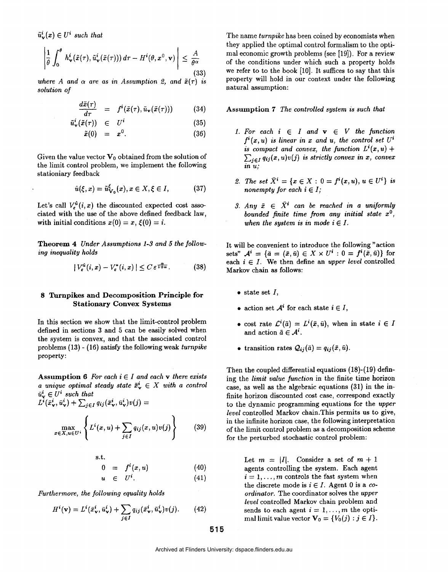$\tilde{u}^i_{\nu}(x) \in U^i$  such that

$$
\left|\frac{1}{\theta}\int_0^\theta h^i_{\mathbf{v}}(\tilde{x}(\tau),\tilde{u}^i_{\mathbf{v}}(\tilde{x}(\tau)))\,d\tau - H^i(\theta,x^0,\mathbf{v})\right| \leq \frac{A}{\theta^\alpha}
$$
\n(33)

where A and  $\alpha$  are as in Assumption 2, and  $\tilde{x}(\tau)$  is *solution of* 

$$
\frac{d\tilde{x}(\tau)}{d\tau} = f^{i}(\tilde{x}(\tau), \tilde{u}_{\mathbf{v}}(\tilde{x}(\tau))) \quad (34)
$$

$$
\tilde{u}^i_{\mathbf{v}}(\tilde{x}(\tau)) \in U^i \tag{35}
$$

$$
\tilde{x}(0) = x^0. \tag{36}
$$

Given the value vector  $\mathbf{V}_0$  obtained from the solution of the limit control problem, we implement the following stationiary feedback

$$
\hat{u}(\xi, x) = \tilde{u}_{V_0}^{\xi}(x), x \in X, \xi \in I,
$$
\n(37)

Let's call  $V^{\hat{u}}_{\epsilon}(i, x)$  the discounted expected cost associated with the use of the above defined feedback law, with initial conditions  $x(0) = x$ ,  $\xi(0) = i$ .

**Theorem 4** *Under Assumptions 1-3 and 5 the following inequality holds* 

$$
|V_{\varepsilon}^{\hat{u}}(i,x)-V_{\varepsilon}^{*}(i,x)|\leq C\,\varepsilon^{\frac{\alpha}{1+\alpha}}.\tag{38}
$$

# **8 Turnpikes and Decomposition Principle for Stationary Convex Systems**

In this section we show that the limit-control problem defined in sections **3** and 5 can be easily solved when the system is convex, and that the associated control problems **(13)** - **(16)** satisfy the following weak *turnpike*  property:

Assumption 6 For each  $i \in I$  and each **v** there exists *a unique optimal steady state*  $\bar{x}^i_{\nu} \in X$  with a control  $\bar{u}_{\mathbf{v}}^i \in U^i$  such that

 $L^{i}(\bar{x}_{\mathbf{v}}^{i}, \bar{u}_{\mathbf{v}}^{i}) + \sum_{j \in I} q_{ij}(\bar{x}_{\mathbf{v}}^{i}, \bar{u}_{\mathbf{v}}^{i})v(j) =$ 

$$
\max_{x \in X, u \in U^i} \left\{ L^i(x, u) + \sum_{j \in I} q_{ij}(x, u)v(j) \right\} \tag{39}
$$

s.t.

$$
0 = f^i(x, u) \qquad (40)
$$

$$
u \in U^i. \tag{41}
$$

Furthermore, the following equality holds  
\n
$$
H^{i}(\mathbf{v}) = L^{i}(\bar{x}_{\mathbf{v}}^{i}, \bar{u}_{\mathbf{v}}^{i}) + \sum_{j \in I} q_{ij}(\bar{x}_{\mathbf{v}}^{i}, \bar{u}_{\mathbf{v}}^{i})v(j).
$$
\n(42)

The name *turnpike* has been coined by economists when they applied the optimal control formalism to the optimal economic growth problems (see **[19]).** For a review of the conditions under which such a property holds we refer to to the book [10]. It suffices to say that this property will hold in our context under the following natural assumption:

**Assumption 7** *The controlled system is such that* 

- 1. For each  $i \in I$  and  $v \in V$  the function  $f^{i}(x, u)$  *is linear in x and u, the control set*  $U^{i}$ *is compact and convex, the function*  $L^{i}(x, u)$  +  $\sum_{j \in I} q_{ij}(x, u)v(j)$  is strictly convex in *x*, convex *in U;*
- 2. The set  $\bar{X}^i = \{x \in X : 0 = f^i(x, u), u \in U^i\}$  is *nonempty for each*  $i \in I$ ;
- 3. Any  $\bar{x} \in \bar{X}^i$  can be reached in a uniformly *bounded finite time from any initial state xo, when the system is in mode*  $i \in I$ .

It will be convenient to introduce the following "action sets"  $A^i = {\bar{a} = (\bar{x}, \bar{u}) \in X \times U^i : 0 = f^i(\bar{x}, \bar{u})}$  for each  $i \in I$ . We then define an *upper level* controlled Markov chain **as** follows:

- $\bullet$  state set  $I$ ,
- action set  $A^i$  for each state  $i \in I$ ,
- cost rate  $\mathcal{L}^i(\bar{a}) = L^i(\bar{x}, \bar{u})$ , when in state  $i \in I$ and action  $\bar{a} \in A^i$ .
- transition rates  $Q_{ij}(\bar{a}) = q_{ij}(\bar{x}, \bar{u}).$

Then the coupled differential equations **(18)-( 19)** defining the *limit value function* in the finite time horizon case, **as** well **as** the algebraic equations **(31)** in the infinite horizon discounted cost case, correspond exactly to the dynamic programming equations for the *upper level* controlled Markov chain.This permits us to give, in the infinite horizon case, the following interpretation of the limit control problem as a decomposition scheme for the perturbed stochastic control problem:

> Let  $m = |I|$ . Consider a set of  $m + 1$ agents controlling the system. Each agent  $i = 1, \ldots, m$  controls the fast system when the discrete mode is  $i \in I$ . Agent 0 is a *coordinator.* The coordinator solves the *upper level* controlled Markov chain problem and sends to each agent  $i = 1, ..., m$  the optimal limit value vector  $\mathbf{V}_0 = \{V_0(j) : j \in I\}.$